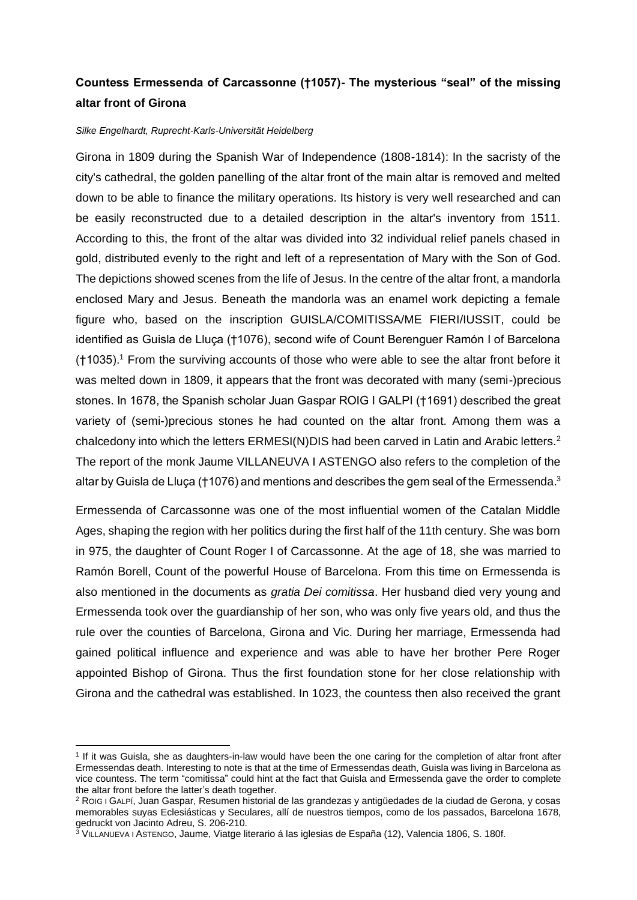## **Countess Ermessenda of Carcassonne (†1057)- The mysterious "seal" of the missing altar front of Girona**

## *Silke Engelhardt, Ruprecht-Karls-Universität Heidelberg*

Girona in 1809 during the Spanish War of Independence (1808-1814): In the sacristy of the city's cathedral, the golden panelling of the altar front of the main altar is removed and melted down to be able to finance the military operations. Its history is very well researched and can be easily reconstructed due to a detailed description in the altar's inventory from 1511. According to this, the front of the altar was divided into 32 individual relief panels chased in gold, distributed evenly to the right and left of a representation of Mary with the Son of God. The depictions showed scenes from the life of Jesus. In the centre of the altar front, a mandorla enclosed Mary and Jesus. Beneath the mandorla was an enamel work depicting a female figure who, based on the inscription GUISLA/COMITISSA/ME FIERI/IUSSIT, could be identified as Guisla de Lluça (†1076), second wife of Count Berenguer Ramón I of Barcelona  $(†1035)$ .<sup>1</sup> From the surviving accounts of those who were able to see the altar front before it was melted down in 1809, it appears that the front was decorated with many (semi-)precious stones. In 1678, the Spanish scholar Juan Gaspar ROIG I GALPI (†1691) described the great variety of (semi-)precious stones he had counted on the altar front. Among them was a chalcedony into which the letters  $ERMESI(N)DIS$  had been carved in Latin and Arabic letters.<sup>2</sup> The report of the monk Jaume VILLANEUVA I ASTENGO also refers to the completion of the altar by Guisla de Lluça (†1076) and mentions and describes the gem seal of the Ermessenda. $3$ 

Ermessenda of Carcassonne was one of the most influential women of the Catalan Middle Ages, shaping the region with her politics during the first half of the 11th century. She was born in 975, the daughter of Count Roger I of Carcassonne. At the age of 18, she was married to Ramón Borell, Count of the powerful House of Barcelona. From this time on Ermessenda is also mentioned in the documents as *gratia Dei comitissa*. Her husband died very young and Ermessenda took over the guardianship of her son, who was only five years old, and thus the rule over the counties of Barcelona, Girona and Vic. During her marriage, Ermessenda had gained political influence and experience and was able to have her brother Pere Roger appointed Bishop of Girona. Thus the first foundation stone for her close relationship with Girona and the cathedral was established. In 1023, the countess then also received the grant

<sup>1</sup> If it was Guisla, she as daughters-in-law would have been the one caring for the completion of altar front after Ermessendas death. Interesting to note is that at the time of Ermessendas death, Guisla was living in Barcelona as vice countess. The term "comitissa" could hint at the fact that Guisla and Ermessenda gave the order to complete the altar front before the latter's death together.

<sup>2</sup> ROIG I GALPÍ, Juan Gaspar, Resumen historial de las grandezas y antigüedades de la ciudad de Gerona, y cosas memorables suyas Eclesiásticas y Seculares, allí de nuestros tiempos, como de los passados, Barcelona 1678, gedruckt von Jacinto Adreu, S. 206-210.

 $^{\rm 3}$ VILLANUEVA I ASTENGO, Jaume, Viatge literario á las iglesias de España (12), Valencia 1806, S. 180f.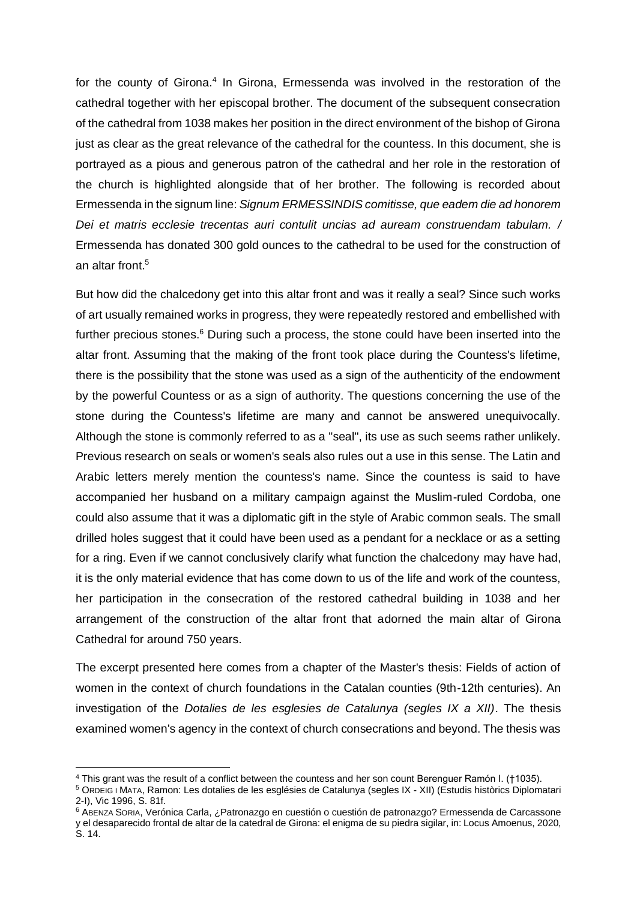for the county of Girona.<sup>4</sup> In Girona, Ermessenda was involved in the restoration of the cathedral together with her episcopal brother. The document of the subsequent consecration of the cathedral from 1038 makes her position in the direct environment of the bishop of Girona just as clear as the great relevance of the cathedral for the countess. In this document, she is portrayed as a pious and generous patron of the cathedral and her role in the restoration of the church is highlighted alongside that of her brother. The following is recorded about Ermessenda in the signum line: *Signum ERMESSINDIS comitisse, que eadem die ad honorem Dei et matris ecclesie trecentas auri contulit uncias ad auream construendam tabulam. /*  Ermessenda has donated 300 gold ounces to the cathedral to be used for the construction of an altar front.<sup>5</sup>

But how did the chalcedony get into this altar front and was it really a seal? Since such works of art usually remained works in progress, they were repeatedly restored and embellished with further precious stones. $6$  During such a process, the stone could have been inserted into the altar front. Assuming that the making of the front took place during the Countess's lifetime, there is the possibility that the stone was used as a sign of the authenticity of the endowment by the powerful Countess or as a sign of authority. The questions concerning the use of the stone during the Countess's lifetime are many and cannot be answered unequivocally. Although the stone is commonly referred to as a "seal", its use as such seems rather unlikely. Previous research on seals or women's seals also rules out a use in this sense. The Latin and Arabic letters merely mention the countess's name. Since the countess is said to have accompanied her husband on a military campaign against the Muslim-ruled Cordoba, one could also assume that it was a diplomatic gift in the style of Arabic common seals. The small drilled holes suggest that it could have been used as a pendant for a necklace or as a setting for a ring. Even if we cannot conclusively clarify what function the chalcedony may have had, it is the only material evidence that has come down to us of the life and work of the countess, her participation in the consecration of the restored cathedral building in 1038 and her arrangement of the construction of the altar front that adorned the main altar of Girona Cathedral for around 750 years.

The excerpt presented here comes from a chapter of the Master's thesis: Fields of action of women in the context of church foundations in the Catalan counties (9th-12th centuries). An investigation of the *Dotalies de les esglesies de Catalunya (segles IX a XII)*. The thesis examined women's agency in the context of church consecrations and beyond. The thesis was

<sup>4</sup> This grant was the result of a conflict between the countess and her son count Berenguer Ramón I. (†1035).

<sup>5</sup> ORDEIG I MATA, Ramon: Les dotalies de les esglésies de Catalunya (segles IX - XII) (Estudis històrics Diplomatari 2-I), Vic 1996, S. 81f.

<sup>6</sup> ABENZA SORIA, Verónica Carla, ¿Patronazgo en cuestión o cuestión de patronazgo? Ermessenda de Carcassone y el desaparecido frontal de altar de la catedral de Girona: el enigma de su piedra sigilar, in: Locus Amoenus, 2020, S. 14.